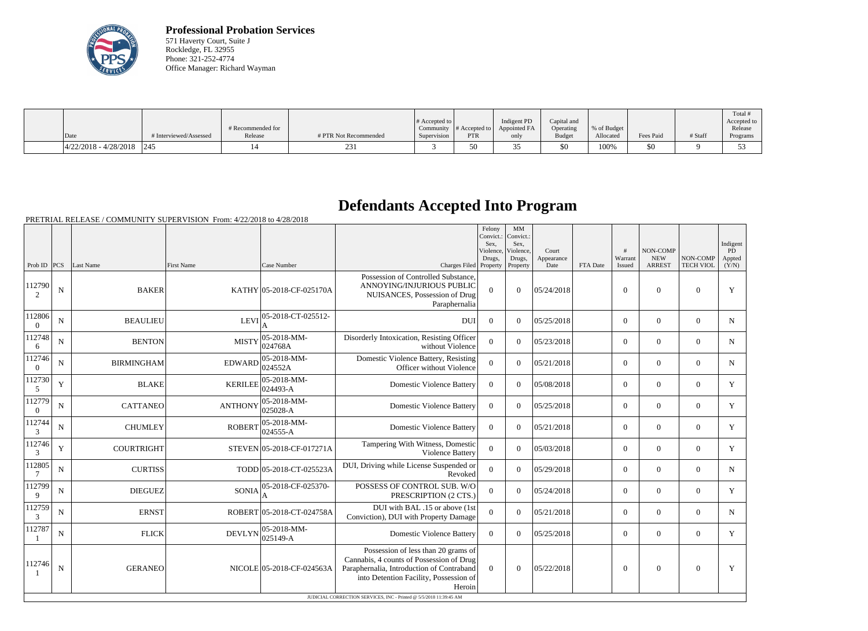

**Professional Probation Services** 571 Haverty Court, Suite J Rockledge, FL 32955 Phone: 321-252-4774 Office Manager: Richard Wayman

|                               |                        | # Recommended for |                       | # Accepted to $\vert$ |            | Indigent PD<br>Community $\ #$ Accepted to $\ $ Appointed FA | Capital and<br>Operating | % of Budget |           |         | Total<br>Accepted to<br>Release |
|-------------------------------|------------------------|-------------------|-----------------------|-----------------------|------------|--------------------------------------------------------------|--------------------------|-------------|-----------|---------|---------------------------------|
| Date                          | # Interviewed/Assessed | Release           | # PTR Not Recommended | Supervision           | <b>PTR</b> | only                                                         | <b>Budget</b>            | Allocated   | Fees Paid | # Staff | Programs                        |
| $ 4/22/2018 - 4/28/2018 $ 245 |                        |                   |                       |                       | 50         | <b>11</b>                                                    | \$0                      | 100%        | \$0       |         |                                 |

## **Defendants Accepted Into Program**

|                          |                |                   |                   |                           |                                                                                                                                                                                                                                                        | Felony<br>Convict.:<br>Sex,<br>Violence,<br>Drugs, | MM<br>Convict.:<br>Sex,<br>Violence,<br>Drugs, | Court<br>Appearance |          | #<br>Warrant   | NON-COMP<br><b>NEW</b> | NON-COMP         | Indigent<br>PD<br>Appted |
|--------------------------|----------------|-------------------|-------------------|---------------------------|--------------------------------------------------------------------------------------------------------------------------------------------------------------------------------------------------------------------------------------------------------|----------------------------------------------------|------------------------------------------------|---------------------|----------|----------------|------------------------|------------------|--------------------------|
| Prob ID $ PCS $          |                | Last Name         | <b>First Name</b> | Case Number               | Charges Filed Property                                                                                                                                                                                                                                 |                                                    | Property                                       | Date                | FTA Date | Issued         | <b>ARREST</b>          | <b>TECH VIOL</b> | (Y/N)                    |
| 112790<br>2              | $\mathbf N$    | <b>BAKER</b>      |                   | KATHY 05-2018-CF-025170A  | Possession of Controlled Substance.<br>ANNOYING/INJURIOUS PUBLIC<br>NUISANCES, Possession of Drug<br>Paraphernalia                                                                                                                                     | $\overline{0}$                                     | $\theta$                                       | 05/24/2018          |          | $\overline{0}$ | $\Omega$               | $\Omega$         | Y                        |
| 112806<br>$\overline{0}$ | ${\bf N}$      | <b>BEAULIEU</b>   | <b>LEVI</b>       | 05-2018-CT-025512-        | <b>DUI</b>                                                                                                                                                                                                                                             | $\theta$                                           | $\theta$                                       | 05/25/2018          |          | $\theta$       | $\mathbf{0}$           | $\mathbf{0}$     | N                        |
| 112748<br>6              | $\mathbf N$    | <b>BENTON</b>     | <b>MISTY</b>      | 05-2018-MM-<br>024768A    | Disorderly Intoxication, Resisting Officer<br>without Violence                                                                                                                                                                                         | $\overline{0}$                                     | $\Omega$                                       | 05/23/2018          |          | $\theta$       | $\overline{0}$         | $\Omega$         | N                        |
| 112746<br>$\overline{0}$ | $\mathbf N$    | <b>BIRMINGHAM</b> | <b>EDWARD</b>     | 05-2018-MM-<br>024552A    | Domestic Violence Battery, Resisting<br>Officer without Violence                                                                                                                                                                                       | $\mathbf{0}$                                       | $\theta$                                       | 05/21/2018          |          | $\overline{0}$ | $\mathbf{0}$           | $\mathbf{0}$     | N                        |
| 112730<br>5              | Y              | <b>BLAKE</b>      | <b>KERILEE</b>    | 05-2018-MM-<br>024493-A   | <b>Domestic Violence Battery</b>                                                                                                                                                                                                                       | $\theta$                                           | $\theta$                                       | 05/08/2018          |          | $\theta$       | $\mathbf{0}$           | $\boldsymbol{0}$ | Y                        |
| 112779<br>$\Omega$       | ${\bf N}$      | <b>CATTANEO</b>   | <b>ANTHONY</b>    | 05-2018-MM-<br>025028-A   | <b>Domestic Violence Battery</b>                                                                                                                                                                                                                       | $\overline{0}$                                     | $\theta$                                       | 05/25/2018          |          | $\overline{0}$ | $\mathbf{0}$           | $\mathbf{0}$     | Y                        |
| 112744<br>3              | N              | <b>CHUMLEY</b>    | <b>ROBERT</b>     | 05-2018-MM-<br>024555-A   | <b>Domestic Violence Battery</b>                                                                                                                                                                                                                       | $\theta$                                           | $\theta$                                       | 05/21/2018          |          | $\theta$       | $\Omega$               | $\mathbf{0}$     | Y                        |
| 112746<br>3              | $\mathbf Y$    | <b>COURTRIGHT</b> |                   | STEVEN 05-2018-CF-017271A | Tampering With Witness, Domestic<br>Violence Battery                                                                                                                                                                                                   | $\overline{0}$                                     | $\boldsymbol{0}$                               | 05/03/2018          |          | $\overline{0}$ | $\boldsymbol{0}$       | $\boldsymbol{0}$ | Y                        |
| 112805<br>7              | N              | <b>CURTISS</b>    |                   | TODD 05-2018-CT-025523A   | DUI, Driving while License Suspended or<br>Revoked                                                                                                                                                                                                     | $\overline{0}$                                     | $\Omega$                                       | 05/29/2018          |          | $\overline{0}$ | $\mathbf{0}$           | $\overline{0}$   | $\mathbf N$              |
| 112799<br>9              | $\mathbf N$    | <b>DIEGUEZ</b>    | <b>SONIA</b>      | 05-2018-CF-025370-        | POSSESS OF CONTROL SUB. W/O<br>PRESCRIPTION (2 CTS.)                                                                                                                                                                                                   | $\overline{0}$                                     | $\theta$                                       | 05/24/2018          |          | $\overline{0}$ | $\mathbf{0}$           | $\mathbf{0}$     | Y                        |
| 112759<br>3              | ${\bf N}$      | <b>ERNST</b>      |                   | ROBERT 05-2018-CT-024758A | DUI with BAL .15 or above (1st<br>Conviction), DUI with Property Damage                                                                                                                                                                                | $\overline{0}$                                     | $\theta$                                       | 05/21/2018          |          | $\theta$       | $\mathbf{0}$           | $\boldsymbol{0}$ | N                        |
| 112787                   | ${\bf N}$      | <b>FLICK</b>      | <b>DEVLYN</b>     | 05-2018-MM-<br>025149-A   | <b>Domestic Violence Battery</b>                                                                                                                                                                                                                       | $\overline{0}$                                     | $\Omega$                                       | 05/25/2018          |          | $\overline{0}$ | $\mathbf{0}$           | $\boldsymbol{0}$ | Y                        |
| 112746                   | $\overline{N}$ | <b>GERANEO</b>    |                   | NICOLE 05-2018-CF-024563A | Possession of less than 20 grams of<br>Cannabis, 4 counts of Possession of Drug<br>Paraphernalia, Introduction of Contraband<br>into Detention Facility, Possession of<br>Heroin<br>JUDICIAL CORRECTION SERVICES, INC - Printed @ 5/5/2018 11:39:45 AM | $\theta$                                           | $\theta$                                       | 05/22/2018          |          | $\theta$       | $\Omega$               | $\overline{0}$   | Y                        |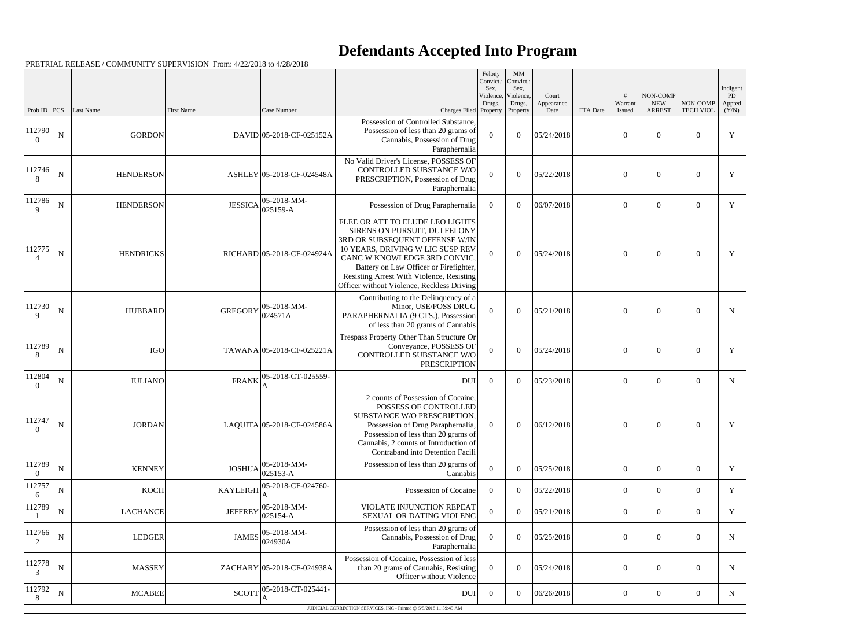## **Defendants Accepted Into Program**

|                          |             |                  |                   |                                                          |                                                                                                                                                                                                                                                                                                             | Felony<br>Sex,   | MM<br>Convict.: Convict.:<br>Sex,         |                             |          |                   |                                         |                              | Indigent                           |
|--------------------------|-------------|------------------|-------------------|----------------------------------------------------------|-------------------------------------------------------------------------------------------------------------------------------------------------------------------------------------------------------------------------------------------------------------------------------------------------------------|------------------|-------------------------------------------|-----------------------------|----------|-------------------|-----------------------------------------|------------------------------|------------------------------------|
| Prob ID $ PCS $          |             | Last Name        | <b>First Name</b> | Case Number                                              | Charges Filed Property                                                                                                                                                                                                                                                                                      | Drugs,           | Violence, Violence,<br>Drugs,<br>Property | Court<br>Appearance<br>Date | FTA Date | Warrant<br>Issued | NON-COMP<br><b>NEW</b><br><b>ARREST</b> | NON-COMP<br><b>TECH VIOL</b> | $\overline{PD}$<br>Appted<br>(Y/N) |
| 112790<br>$\theta$       | $\mathbf N$ | <b>GORDON</b>    |                   | DAVID 05-2018-CF-025152A                                 | Possession of Controlled Substance,<br>Possession of less than 20 grams of<br>Cannabis, Possession of Drug<br>Paraphernalia                                                                                                                                                                                 | $\overline{0}$   | $\theta$                                  | 05/24/2018                  |          | $\theta$          | $\theta$                                | $\Omega$                     | Y                                  |
| 112746<br>8              | N           | <b>HENDERSON</b> |                   | ASHLEY 05-2018-CF-024548A                                | No Valid Driver's License, POSSESS OF<br>CONTROLLED SUBSTANCE W/O<br>PRESCRIPTION, Possession of Drug<br>Paraphernalia                                                                                                                                                                                      | $\theta$         | $\overline{0}$                            | 05/22/2018                  |          | $\overline{0}$    | $\theta$                                | $\theta$                     | Y                                  |
| 112786<br>9              | $\mathbf N$ | <b>HENDERSON</b> |                   | $ 05 - 2018 - MM -$<br>$JESSICA$ 025159-A                | Possession of Drug Paraphernalia                                                                                                                                                                                                                                                                            | $\overline{0}$   | $\overline{0}$                            | 06/07/2018                  |          | $\overline{0}$    | $\overline{0}$                          | $\overline{0}$               | Y                                  |
| 112775                   | $\mathbf N$ | <b>HENDRICKS</b> |                   | RICHARD 05-2018-CF-024924A                               | FLEE OR ATT TO ELUDE LEO LIGHTS<br>SIRENS ON PURSUIT, DUI FELONY<br>3RD OR SUBSEQUENT OFFENSE W/IN<br>10 YEARS, DRIVING W LIC SUSP REV<br>CANC W KNOWLEDGE 3RD CONVIC.<br>Battery on Law Officer or Firefighter,<br>Resisting Arrest With Violence, Resisting<br>Officer without Violence, Reckless Driving | $\Omega$         | $\overline{0}$                            | 05/24/2018                  |          | $\overline{0}$    | $\overline{0}$                          | $\Omega$                     | Y                                  |
| 112730<br>$\mathbf{Q}$   | $\mathbf N$ | <b>HUBBARD</b>   | <b>GREGORY</b>    | $ 05-2018-MM-$<br> 024571A                               | Contributing to the Delinquency of a<br>Minor, USE/POSS DRUG<br>PARAPHERNALIA (9 CTS.), Possession<br>of less than 20 grams of Cannabis                                                                                                                                                                     | $\theta$         | $\boldsymbol{0}$                          | 05/21/2018                  |          | $\overline{0}$    | $\overline{0}$                          | $\theta$                     | N                                  |
| 112789<br>8              | $\mathbf N$ | <b>IGO</b>       |                   | TAWANA 05-2018-CF-025221A                                | Trespass Property Other Than Structure Or<br>Conveyance, POSSESS OF<br>CONTROLLED SUBSTANCE W/O<br><b>PRESCRIPTION</b>                                                                                                                                                                                      | $\boldsymbol{0}$ | $\theta$                                  | 05/24/2018                  |          | $\overline{0}$    | $\theta$                                | $\theta$                     | Y                                  |
| 112804<br>$\Omega$       | ${\bf N}$   | <b>IULIANO</b>   | <b>FRANK</b>      | 05-2018-CT-025559-<br>A                                  | <b>DUI</b>                                                                                                                                                                                                                                                                                                  | $\overline{0}$   | $\theta$                                  | 05/23/2018                  |          | $\overline{0}$    | $\overline{0}$                          | $\theta$                     | N                                  |
| 112747<br>$\overline{0}$ | $\mathbf N$ | <b>JORDAN</b>    |                   | LAQUITA 05-2018-CF-024586A                               | 2 counts of Possession of Cocaine.<br>POSSESS OF CONTROLLED<br>SUBSTANCE W/O PRESCRIPTION,<br>Possession of Drug Paraphernalia,<br>Possession of less than 20 grams of<br>Cannabis, 2 counts of Introduction of<br>Contraband into Detention Facili                                                         | $\overline{0}$   | $\boldsymbol{0}$                          | 06/12/2018                  |          | $\boldsymbol{0}$  | $\boldsymbol{0}$                        | $\mathbf{0}$                 | Y                                  |
| 112789<br>$\theta$       | ${\bf N}$   | <b>KENNEY</b>    |                   | $ 05-2018-MM-$<br>$JOSHUA \Big _{025153-A}^{00025153-A}$ | Possession of less than 20 grams of<br>Cannabis                                                                                                                                                                                                                                                             | $\boldsymbol{0}$ | $\overline{0}$                            | 05/25/2018                  |          | $\overline{0}$    | $\overline{0}$                          | $\overline{0}$               | Y                                  |
| 112757<br>6              | ${\bf N}$   | <b>KOCH</b>      | <b>KAYLEIGH</b>   | 05-2018-CF-024760-                                       | Possession of Cocaine                                                                                                                                                                                                                                                                                       | $\overline{0}$   | $\theta$                                  | 05/22/2018                  |          | $\overline{0}$    | $\overline{0}$                          | $\overline{0}$               | Y                                  |
| 112789                   | $\mathbf N$ | <b>LACHANCE</b>  | <b>JEFFREY</b>    | $ 05 - 2018 - MM -$<br>$ 025154-A$                       | VIOLATE INJUNCTION REPEAT<br>SEXUAL OR DATING VIOLENC                                                                                                                                                                                                                                                       | $\boldsymbol{0}$ | $\overline{0}$                            | 05/21/2018                  |          | $\overline{0}$    | $\boldsymbol{0}$                        | $\overline{0}$               | Y                                  |
| 112766<br>2              | ${\bf N}$   | <b>LEDGER</b>    | <b>JAMES</b>      | $ 05-2018-MM-$<br>024930A                                | Possession of less than 20 grams of<br>Cannabis, Possession of Drug<br>Paraphernalia                                                                                                                                                                                                                        | $\overline{0}$   | $\boldsymbol{0}$                          | 05/25/2018                  |          | $\overline{0}$    | $\mathbf{0}$                            | $\overline{0}$               | N                                  |
| 112778<br>3              | $\mathbf N$ | <b>MASSEY</b>    |                   | ZACHARY 05-2018-CF-024938A                               | Possession of Cocaine, Possession of less<br>than 20 grams of Cannabis, Resisting<br>Officer without Violence                                                                                                                                                                                               | $\overline{0}$   | $\overline{0}$                            | 05/24/2018                  |          | $\overline{0}$    | $\boldsymbol{0}$                        | $\overline{0}$               | N                                  |
| 112792<br>8              | ${\bf N}$   | <b>MCABEE</b>    | <b>SCOTT</b>      | 05-2018-CT-025441-<br>A                                  | <b>DUI</b>                                                                                                                                                                                                                                                                                                  | $\overline{0}$   | $\mathbf{0}$                              | 06/26/2018                  |          | $\overline{0}$    | $\mathbf{0}$                            | $\overline{0}$               | N                                  |
|                          |             |                  |                   |                                                          | JUDICIAL CORRECTION SERVICES, INC - Printed @ 5/5/2018 11:39:45 AM                                                                                                                                                                                                                                          |                  |                                           |                             |          |                   |                                         |                              |                                    |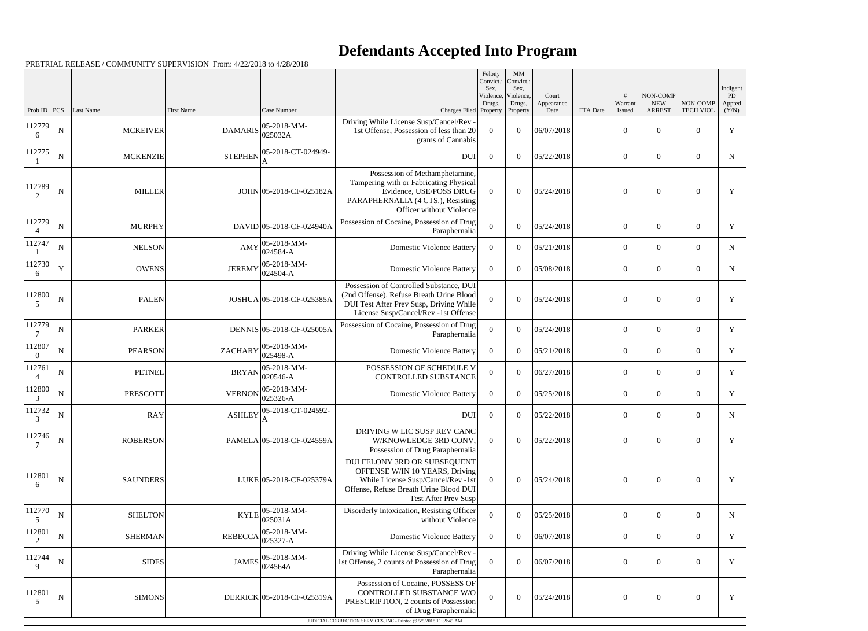## **Defendants Accepted Into Program**

|                          |             |                  |                   |                                      |                                                                                                                                                                                                      | Felony<br>Convict.:<br>Sex. | MM<br>Convict.:<br>Sex,         |                             |          |                   |                                         |                              | Indigent              |
|--------------------------|-------------|------------------|-------------------|--------------------------------------|------------------------------------------------------------------------------------------------------------------------------------------------------------------------------------------------------|-----------------------------|---------------------------------|-----------------------------|----------|-------------------|-----------------------------------------|------------------------------|-----------------------|
| Prob ID                  | PCS         | <b>Last Name</b> | <b>First Name</b> | Case Number                          | Charges Filed Property                                                                                                                                                                               | Violence,<br>Drugs,         | Violence,<br>Drugs,<br>Property | Court<br>Appearance<br>Date | FTA Date | Warrant<br>Issued | NON-COMP<br><b>NEW</b><br><b>ARREST</b> | NON-COMP<br><b>TECH VIOL</b> | PD<br>Appted<br>(Y/N) |
| 112779<br>6              | ${\bf N}$   | <b>MCKEIVER</b>  | <b>DAMARIS</b>    | $ 05-2018-MM-$<br>025032A            | Driving While License Susp/Cancel/Rev -<br>1st Offense, Possession of less than 20<br>grams of Cannabis                                                                                              | $\Omega$                    | $\theta$                        | 06/07/2018                  |          | $\overline{0}$    | $\overline{0}$                          | $\overline{0}$               | Y                     |
| 112775                   | N           | <b>MCKENZIE</b>  | <b>STEPHEN</b>    | 05-2018-CT-024949-<br>A              | <b>DUI</b>                                                                                                                                                                                           | $\theta$                    | $\theta$                        | 05/22/2018                  |          | $\overline{0}$    | $\overline{0}$                          | $\overline{0}$               | $\mathbf N$           |
| 112789<br>2              | $\mathbf N$ | <b>MILLER</b>    |                   | JOHN 05-2018-CF-025182A              | Possession of Methamphetamine,<br>Tampering with or Fabricating Physical<br>Evidence, USE/POSS DRUG<br>PARAPHERNALIA (4 CTS.), Resisting<br>Officer without Violence                                 | $\theta$                    | $\Omega$                        | 05/24/2018                  |          | $\theta$          | $\theta$                                | $\boldsymbol{0}$             | Y                     |
| 112779                   | $\mathbf N$ | <b>MURPHY</b>    |                   | DAVID 05-2018-CF-024940A             | Possession of Cocaine, Possession of Drug<br>Paraphernalia                                                                                                                                           | $\boldsymbol{0}$            | $\theta$                        | 05/24/2018                  |          | $\overline{0}$    | $\overline{0}$                          | $\overline{0}$               | Y                     |
| 112747                   | ${\bf N}$   | <b>NELSON</b>    | AMY               | $ 05-2018-MM-$<br>024584-A           | <b>Domestic Violence Battery</b>                                                                                                                                                                     | $\theta$                    | $\Omega$                        | 05/21/2018                  |          | $\overline{0}$    | $\overline{0}$                          | $\overline{0}$               | $\mathbf N$           |
| 112730<br>6              | Y           | <b>OWENS</b>     | <b>JEREMY</b>     | $ 05 - 2018 - MM -$<br>$ 024504 - A$ | <b>Domestic Violence Battery</b>                                                                                                                                                                     | $\Omega$                    | $\theta$                        | 05/08/2018                  |          | $\overline{0}$    | $\theta$                                | $\overline{0}$               | $\mathbf N$           |
| 112800<br>5              | N           | <b>PALEN</b>     |                   | JOSHUA 05-2018-CF-025385A            | Possession of Controlled Substance, DUI<br>(2nd Offense), Refuse Breath Urine Blood<br>DUI Test After Prev Susp, Driving While<br>License Susp/Cancel/Rev -1st Offense                               | $\Omega$                    | $\Omega$                        | 05/24/2018                  |          | $\theta$          | $\theta$                                | $\overline{0}$               | Y                     |
| 112779<br>7              | ${\bf N}$   | <b>PARKER</b>    |                   | DENNIS 05-2018-CF-025005A            | Possession of Cocaine, Possession of Drug<br>Paraphernalia                                                                                                                                           | $\theta$                    | $\theta$                        | 05/24/2018                  |          | $\overline{0}$    | $\Omega$                                | $\overline{0}$               | Y                     |
| 112807<br>$\Omega$       | ${\bf N}$   | <b>PEARSON</b>   | <b>ZACHARY</b>    | $ 05-2018-MM-$<br>$ 025498-A$        | <b>Domestic Violence Battery</b>                                                                                                                                                                     | $\Omega$                    | $\theta$                        | 05/21/2018                  |          | $\overline{0}$    | $\overline{0}$                          | $\overline{0}$               | $\mathbf Y$           |
| 112761<br>$\overline{4}$ | ${\bf N}$   | <b>PETNEL</b>    | <b>BRYAN</b>      | $ 05 - 2018 - MM -$<br>$020546-A$    | POSSESSION OF SCHEDULE V<br><b>CONTROLLED SUBSTANCE</b>                                                                                                                                              | $\Omega$                    | $\Omega$                        | 06/27/2018                  |          | $\theta$          | $\theta$                                | $\overline{0}$               | Y                     |
| 112800<br>3              | ${\bf N}$   | <b>PRESCOTT</b>  | <b>VERNON</b>     | $ 05-2018-MM-$<br>$025326-A$         | <b>Domestic Violence Battery</b>                                                                                                                                                                     | $\Omega$                    | $\theta$                        | 05/25/2018                  |          | $\theta$          | $\overline{0}$                          | $\overline{0}$               | Y                     |
| 112732<br>$\mathcal{R}$  | ${\bf N}$   | <b>RAY</b>       | <b>ASHLEY</b>     | 05-2018-CT-024592-                   | <b>DUI</b>                                                                                                                                                                                           | $\boldsymbol{0}$            | $\overline{0}$                  | 05/22/2018                  |          | $\boldsymbol{0}$  | $\overline{0}$                          | $\overline{0}$               | N                     |
| 112746                   | $\mathbf N$ | <b>ROBERSON</b>  |                   | PAMELA 05-2018-CF-024559A            | DRIVING W LIC SUSP REV CANC<br>W/KNOWLEDGE 3RD CONV,<br>Possession of Drug Paraphernalia                                                                                                             | $\theta$                    | $\overline{0}$                  | 05/22/2018                  |          | $\overline{0}$    | $\overline{0}$                          | $\overline{0}$               | Y                     |
| 112801<br>6              | ${\bf N}$   | <b>SAUNDERS</b>  |                   | LUKE 05-2018-CF-025379A              | DUI FELONY 3RD OR SUBSEQUENT<br>OFFENSE W/IN 10 YEARS, Driving<br>While License Susp/Cancel/Rev -1st<br>Offense, Refuse Breath Urine Blood DUI<br>Test After Prev Susp                               | $\overline{0}$              | $\theta$                        | 05/24/2018                  |          | $\overline{0}$    | $\theta$                                | $\boldsymbol{0}$             | Y                     |
| 112770<br>5              | ${\bf N}$   | <b>SHELTON</b>   | <b>KYLE</b>       | $ 05-2018-MM-$<br>025031A            | Disorderly Intoxication, Resisting Officer<br>without Violence                                                                                                                                       | $\mathbf{0}$                | $\overline{0}$                  | 05/25/2018                  |          | $\overline{0}$    | $\overline{0}$                          | $\mathbf{0}$                 | $\mathbf N$           |
| 112801<br>2              | ${\bf N}$   | <b>SHERMAN</b>   | <b>REBECCA</b>    | $ 05-2018-MM-$<br>$ 025327 - A$      | <b>Domestic Violence Battery</b>                                                                                                                                                                     | $\overline{0}$              | $\theta$                        | 06/07/2018                  |          | $\overline{0}$    | $\overline{0}$                          | $\overline{0}$               | $\mathbf Y$           |
| 112744<br>9              | $\mathbf N$ | <b>SIDES</b>     | <b>JAMES</b>      | $ 05 - 2018 - MM -$<br>024564A       | Driving While License Susp/Cancel/Rev -<br>1st Offense, 2 counts of Possession of Drug<br>Paraphernalia                                                                                              | $\theta$                    | $\overline{0}$                  | 06/07/2018                  |          | $\boldsymbol{0}$  | $\overline{0}$                          | $\overline{0}$               | Y                     |
| 112801<br>5              | $\mathbf N$ | <b>SIMONS</b>    |                   | DERRICK 05-2018-CF-025319A           | Possession of Cocaine, POSSESS OF<br>CONTROLLED SUBSTANCE W/O<br>PRESCRIPTION, 2 counts of Possession<br>of Drug Paraphernalia<br>JUDICIAL CORRECTION SERVICES, INC - Printed @ 5/5/2018 11:39:45 AM | $\Omega$                    | $\boldsymbol{0}$                | 05/24/2018                  |          | $\overline{0}$    | $\boldsymbol{0}$                        | $\overline{0}$               | $\mathbf Y$           |